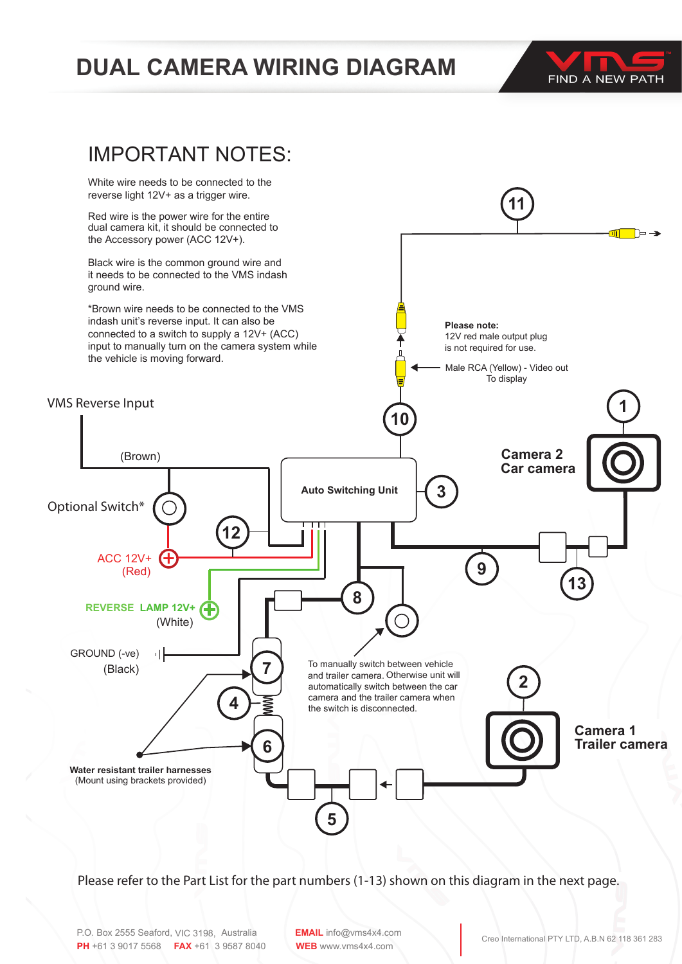## **DUAL CAMERA WIRING DIAGRAM POWER**





Male RCA (Yellow) - Video Out of the Out of the Out of the Out of the Out of the Out of the Out of the Out of<br>- Video Out of the Out of the Out of the Out of the Out of the Out of the Out of the Out of the Out of the Out

Please refer to the Part List for the part numbers (1-13) shown on this diagram in the next page.

**EMAIL** info@vms4x4.com **WEB** www.vms4x4.com